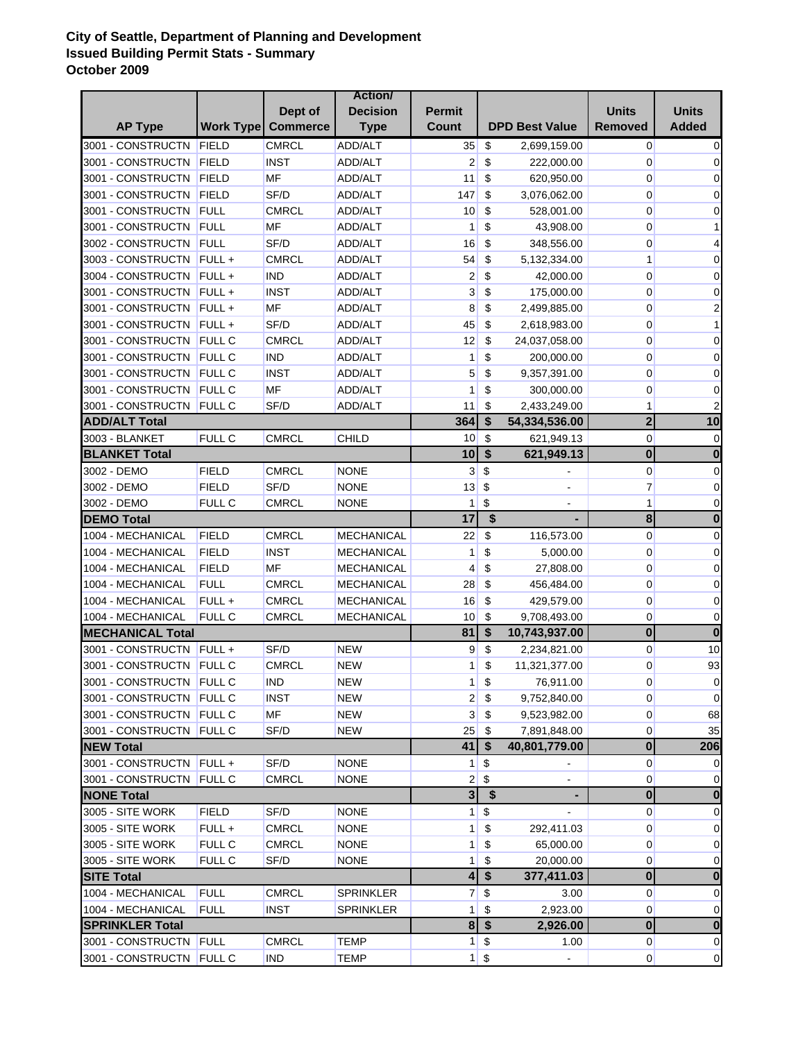## **City of Seattle, Department of Planning and Development Issued Building Permit Stats - Summary October 2009**

|                          |               |                             | <b>Action</b>     |                         |                           |                          |                         |              |
|--------------------------|---------------|-----------------------------|-------------------|-------------------------|---------------------------|--------------------------|-------------------------|--------------|
|                          |               | Dept of                     | <b>Decision</b>   | <b>Permit</b>           |                           |                          | <b>Units</b>            | <b>Units</b> |
| <b>AP Type</b>           |               | <b>Work Type   Commerce</b> | <b>Type</b>       | <b>Count</b>            |                           | <b>DPD Best Value</b>    | <b>Removed</b>          | <b>Added</b> |
| 3001 - CONSTRUCTN        | FIELD         | <b>CMRCL</b>                | ADD/ALT           | 35                      | \$                        | 2,699,159.00             | $\overline{0}$          | 0            |
| 3001 - CONSTRUCTN        | FIELD         | <b>INST</b>                 | <b>ADD/ALT</b>    | $\overline{2}$          | \$                        | 222,000.00               | 0                       | 0            |
| 3001 - CONSTRUCTN        | FIELD         | MF                          | ADD/ALT           | 11                      | \$                        | 620,950.00               | 0                       | 0            |
| 3001 - CONSTRUCTN        | FIELD         | SF/D                        | ADD/ALT           | 147                     | \$                        | 3,076,062.00             | $\overline{0}$          | 0            |
| 3001 - CONSTRUCTN        | FULL          | <b>CMRCL</b>                | ADD/ALT           | 10                      | \$                        | 528,001.00               | 0                       | 0            |
| 3001 - CONSTRUCTN        | FULL          | MF                          | <b>ADD/ALT</b>    | 1                       | \$                        | 43,908.00                | 0                       | 1            |
| 3002 - CONSTRUCTN        | FULL          | SF/D                        | ADD/ALT           | 16                      | \$                        | 348,556.00               | 0                       | 4            |
| 3003 - CONSTRUCTN        | $FULL +$      | <b>CMRCL</b>                | ADD/ALT           | 54                      | \$                        | 5,132,334.00             | 1                       | 0            |
| 3004 - CONSTRUCTN        | FULL +        | <b>IND</b>                  | ADD/ALT           | 2                       | \$                        | 42,000.00                | $\overline{0}$          | 0            |
| 3001 - CONSTRUCTN        | $FULL +$      | <b>INST</b>                 | ADD/ALT           | 3                       | \$                        | 175,000.00               | $\overline{0}$          | 0            |
| 3001 - CONSTRUCTN        | FULL +        | <b>MF</b>                   | ADD/ALT           | 8                       | \$                        | 2,499,885.00             | 0                       | 2            |
| 3001 - CONSTRUCTN        | $FULL +$      | SF/D                        | ADD/ALT           | 45                      | \$                        | 2,618,983.00             | 0                       | 1            |
| 3001 - CONSTRUCTN        | <b>FULL C</b> | <b>CMRCL</b>                | ADD/ALT           | 12                      | \$                        | 24,037,058.00            | 0                       | 0            |
| 3001 - CONSTRUCTN        | <b>FULL C</b> | <b>IND</b>                  | ADD/ALT           | $\mathbf{1}$            | \$                        | 200,000.00               | 0                       | 0            |
| 3001 - CONSTRUCTN        | <b>FULL C</b> | <b>INST</b>                 | ADD/ALT           | 5                       | \$                        | 9,357,391.00             | 0                       | 0            |
| 3001 - CONSTRUCTN FULL C |               | MF                          | ADD/ALT           | 1                       | \$                        | 300,000.00               | $\mathbf 0$             | 0            |
| 3001 - CONSTRUCTN        | <b>FULL C</b> | SF/D                        | <b>ADD/ALT</b>    | 11                      | \$                        | 2,433,249.00             | 1                       | 2            |
| <b>ADD/ALT Total</b>     |               |                             |                   | 364                     | \$                        | 54,334,536.00            | $\overline{2}$          | 10           |
| 3003 - BLANKET           | <b>FULL C</b> | <b>CMRCL</b>                | CHILD             | 10 <sup>°</sup>         | \$                        | 621,949.13               | $\overline{0}$          | 0            |
| <b>BLANKET Total</b>     |               |                             |                   | 10                      | $\boldsymbol{\mathsf{s}}$ | 621,949.13               | $\mathbf 0$             | $\bf{0}$     |
| 3002 - DEMO              | <b>FIELD</b>  | <b>CMRCL</b>                | <b>NONE</b>       | $\mathbf{3}$            | \$                        |                          | $\overline{0}$          | 0            |
| 3002 - DEMO              | FIELD         | SF/D                        | <b>NONE</b>       | 13                      | \$                        |                          | $\overline{7}$          | 0            |
| 3002 - DEMO              | FULL C        | <b>CMRCL</b>                | <b>NONE</b>       | 1                       | \$                        | $\overline{\phantom{a}}$ | 1                       | $\mathbf 0$  |
| <b>DEMO Total</b>        |               |                             |                   | 17                      | \$                        |                          | 8                       | $\bf{0}$     |
| 1004 - MECHANICAL        | <b>FIELD</b>  | <b>CMRCL</b>                | MECHANICAL        | 22                      | \$                        | 116,573.00               | $\overline{0}$          | 0            |
| 1004 - MECHANICAL        | <b>FIELD</b>  | <b>INST</b>                 | <b>MECHANICAL</b> | 1                       | \$                        | 5,000.00                 | $\overline{0}$          | 0            |
| 1004 - MECHANICAL        | <b>FIELD</b>  | MF                          | <b>MECHANICAL</b> | $\overline{4}$          | \$                        | 27,808.00                | 0                       | 0            |
| 1004 - MECHANICAL        | <b>FULL</b>   | <b>CMRCL</b>                | <b>MECHANICAL</b> | 28                      | \$                        | 456,484.00               | 0                       | 0            |
| 1004 - MECHANICAL        | FULL+         | <b>CMRCL</b>                | <b>MECHANICAL</b> | 16                      | \$                        | 429,579.00               | $\mathbf 0$             | 0            |
| 1004 - MECHANICAL        | FULL C        | <b>CMRCL</b>                | <b>MECHANICAL</b> | 10 <sup>1</sup>         | \$                        | 9,708,493.00             | 0                       | 0            |
| <b>MECHANICAL Total</b>  |               |                             |                   | 81                      | $\boldsymbol{\$}$         | 10,743,937.00            | $\bf{0}$                | $\bf{0}$     |
| 3001 - CONSTRUCTN FULL + |               | SF/D                        | <b>NEW</b>        | $\overline{9}$          | $\boldsymbol{\mathsf{S}}$ | 2,234,821.00             | $\overline{0}$          | 10           |
| 3001 - CONSTRUCTN FULL C |               | <b>CMRCL</b>                | <b>NEW</b>        | 1                       | \$                        | 11,321,377.00            | $\mathbf 0$             | 93           |
| 3001 - CONSTRUCTN FULL C |               | <b>IND</b>                  | <b>NEW</b>        | 1 <sup>1</sup>          | $\boldsymbol{\$}$         | 76,911.00                | $\overline{0}$          | 0            |
| 3001 - CONSTRUCTN FULL C |               | <b>INST</b>                 | <b>NEW</b>        | 2                       | \$                        | 9,752,840.00             | $\overline{0}$          | 0            |
| 3001 - CONSTRUCTN FULL C |               | <b>MF</b>                   | <b>NEW</b>        | $\overline{3}$          | \$                        | 9,523,982.00             | $\overline{0}$          | 68           |
| 3001 - CONSTRUCTN FULL C |               | SF/D                        | <b>NEW</b>        | 25                      | \$                        | 7,891,848.00             | $\overline{0}$          | 35           |
| <b>NEW Total</b>         |               |                             |                   | 41                      | $\sqrt[6]{3}$             | 40,801,779.00            | $\boldsymbol{0}$        | 206          |
| 3001 - CONSTRUCTN FULL + |               | SF/D                        | <b>NONE</b>       | 1 <sup>1</sup>          | \$                        |                          | $\overline{0}$          | 0            |
| 3001 - CONSTRUCTN FULL C |               | <b>CMRCL</b>                | <b>NONE</b>       | $\mathbf{2}$            | \$                        | $\blacksquare$           | $\overline{0}$          | 0            |
| <b>NONE Total</b>        |               |                             |                   | $\overline{\mathbf{3}}$ | \$                        |                          | $\overline{\mathbf{0}}$ | $\bf{0}$     |
| 3005 - SITE WORK         | <b>FIELD</b>  | SF/D                        | <b>NONE</b>       | 1 <sup>1</sup>          | \$                        |                          | $\overline{0}$          | 0            |
| 3005 - SITE WORK         | FULL +        | <b>CMRCL</b>                | <b>NONE</b>       | 1                       | \$                        | 292,411.03               | $\overline{0}$          | 0            |
| 3005 - SITE WORK         | FULL C        | <b>CMRCL</b>                | <b>NONE</b>       | 1                       | \$                        | 65,000.00                | $\overline{0}$          | 0            |
| 3005 - SITE WORK         | FULL C        | SF/D                        | <b>NONE</b>       | 1                       | \$                        | 20,000.00                | $\overline{0}$          | 0            |
| <b>SITE Total</b>        |               |                             |                   | $\overline{\mathbf{4}}$ | $\boldsymbol{\$}$         | 377,411.03               | $\boldsymbol{0}$        | $\bf{0}$     |
| 1004 - MECHANICAL        | <b>FULL</b>   | <b>CMRCL</b>                | <b>SPRINKLER</b>  | 7                       | \$                        | 3.00                     | $\overline{0}$          | 0            |
| 1004 - MECHANICAL        | <b>FULL</b>   | <b>INST</b>                 | <b>SPRINKLER</b>  | 1                       | \$                        | 2,923.00                 | 0                       | 0            |
| <b>SPRINKLER Total</b>   |               |                             |                   | $\bf{8}$                | $\boldsymbol{\hat{s}}$    | 2,926.00                 | $\bf{0}$                | $\bf{0}$     |
| 3001 - CONSTRUCTN FULL   |               | <b>CMRCL</b>                | TEMP              | 1 <sup>1</sup>          | $\boldsymbol{\mathsf{S}}$ | 1.00                     | $\overline{0}$          | 0            |
| 3001 - CONSTRUCTN FULL C |               | <b>IND</b>                  | <b>TEMP</b>       |                         | $1 \,$ \$                 |                          | $\overline{0}$          | 0            |